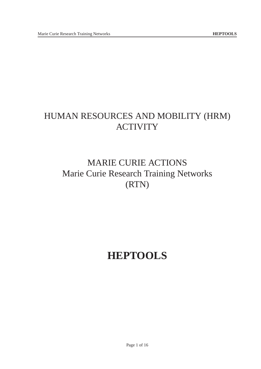## HUMAN RESOURCES AND MOBILITY (HRM) **ACTIVITY**

# MARIE CURIE ACTIONS Marie Curie Research Training Networks (RTN)

# **HEPTOOLS**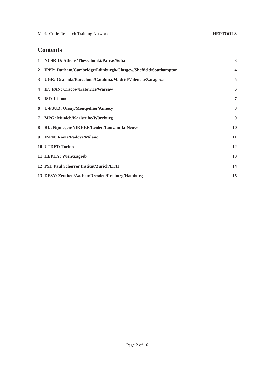## **Contents**

|                | 1 NCSR-D: Athens/Thessaloniki/Patras/Sofia                     | 3                       |
|----------------|----------------------------------------------------------------|-------------------------|
| $\overline{2}$ | IPPP: Durham/Cambridge/Edinburgh/Glasgow/Sheffield/Southampton | $\overline{\mathbf{4}}$ |
|                | 3 UGR: Granada/Barcelona/Cataluña/Madrid/Valencia/Zaragoza     | 5                       |
| 4              | <b>IFJ PAN: Cracow/Katowice/Warsaw</b>                         | 6                       |
| 5              | <b>IST: Lisbon</b>                                             | 7                       |
|                | 6 U-PSUD: Orsay/Montpellier/Annecy                             | 8                       |
|                | 7 MPG: Munich/Karlsruhe/Würzburg                               | 9                       |
|                | 8 RU: Nijmegen/NIKHEF/Leiden/Louvain-la-Neuve                  | 10                      |
|                | 9 INFN: Roma/Padova/Milano                                     | 11                      |
|                | 10 UTDFT: Torino                                               | 12                      |
|                | 11 HEPHY: Wien/Zagreb                                          | 13                      |
|                | 12 PSI: Paul Scherrer Institut/Zurich/ETH                      | 14                      |
|                | 13 DESY: Zeuthen/Aachen/Dresden/Freiburg/Hamburg               | 15                      |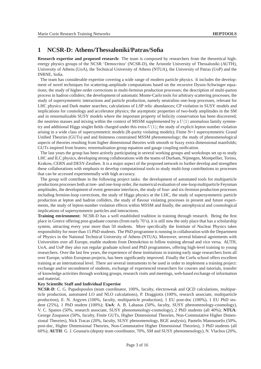## **1 NCSR-D: Athens/Thessaloniki/Patras/Sofia**

**Research expertise and proposed research:** The team is composed by researchers from the theoretical highenergy physics groups of the NCSR 'Democritos' (NCSR-D), the Aristotle University of Thessaloniki (AUTH), University of Athens (UoA), the Technical University of Athens (NTUA), the University of Patras (UoP) and the INRNE, Sofia.

The team has considerable expertise covering a wide range of modern particle physics. It includes the development of novel techniques for scattering-amplitude computations based on the recursive Dyson-Schwinger equations; the study of higher-order corrections in multi-fermion production processes; the description of multi-parton process in hadron colliders; the development of automatic Monte-Carlo tools for arbitrary scattering processes; the study of supersymmetric interactions and particle production, namely neutralino one-loop processes, relevant for LHC physics and Dark matter searches; calculations of LSP relic abundances; CP violation in SUSY models and implications for cosmology and accelerator physics; the asymptotic properties of two-body amplitudes in the SM and in renormalizable SUSY models where the important property of helicity conservation has been discovered; the neutrino masses and mixing within the context of MSSM supplemented by a  $U(1)$  anomalous family symmetry and additional Higgs singlet fields charged under this extra  $U(1)$ ; the study of explicit lepton number violation arising in a wide class of supersymmetric models (R-parity violating models); Finite N=1 supersymmetric Grand Unified Theories (GUTs) and and finiteness constrained MSSM phenomenology; the study of phenomenological aspects of theories resulting from higher dimensional theories with smooth or fuzzy extra dimensional manifolds; GUTs inspired from branes; renormalisation group equation and gauge coupling unification.

The last years the group has been actively participating in several working groups and workshops set up to study LHC and ILC physics, developing strong collaborations with the teams of Durham, Nijmegen, Montpellier, Torino, Krakow, CERN and DESY-Zeuthen. It is a major aspect of the proposed network to further develop and strengthen these collaborations with emphasis to develop computational tools to study multi-loop contributions to processes that can be accessed experimentally with high accuracy.

The group will contribute in the following project tasks: the development of automated tools for multiparticle productions processes both at tree- and one-loop order, the numerical evaluation of one-loop multiparticle Feynman amplitudes, the development of event generator interfaces, the study of four- and six-fermion production processes including fermion-loop corrections, the study of Higgs physics at the LHC, the study of supersymmetric particle production at lepton and hadron colliders, the study of flavour violating processes in present and future experiments, the study of lepton-number violation effects within MSSM and finally, the astrophysical and cosmological implications of supersymmetric particles and interactions.

**Training environment:** NCSR-D has a well established tradition in training through research. Being the first place in Greece offering post-graduate courses (from early 70's), it is still now the only place that has a scholarship system, attracting every year more than 50 students. More specifically the Institute of Nuclear Physics takes responsibility for more than 15 PhD students. The PhD programme is running in collaboration with the Department of Physics in the National Technical University of Athens (NTUA). Moreover, several bilateral agreements with Universities over all Europe, enable students from Demokritos to follow training abroad and vice versa. AUTH, UoA, and UoP they also run regular graduate school and PhD programmes, offering high-level training to young researchers. Over the last few years, the experience of these institutions in training early stage researchers form all over Europe, within European projects, has been significantly improved. Finally the Corfu school offers excellent training at an international level. There are several instruments to be used in order to implement a training project: exchange and/or secondment of students, exchange of experienced researchers for courses and tutorials, transfer of knowledge activities through working groups, research visits and meetings, web-based exchange of information and material.

#### **Key Scientific Staff and Individual Expertise**

**NCSR-D**: C. G. Papadopoulos (team coordinator, 100%, faculty, electroweak and QCD calculations, multiparticle production, automated LO and NLO calculations), P. Draggiotis (100%, research associate, multiparticle production), E. N. Argyres (100%, faculty, multiparticle production), 1 EU post-doc (100%), 1 EU PhD student (25%), 1 PhD student (100%); **UoA**: A. B. Lahanas (50%, faculty, SUSY phenomenology-cosmology), V. C. Spanos (50%, research associate, SUSY phenomenology-cosmology), 2 PhD students (all 40%); **NTUA**: George Zoupanos (50%, faculty, Finite GUTs, Higher Dimensional Theories, Non-Commutative Higher Dimensional Theories), Nick Tracas (20%, faculty, SUSY phenomenology, RGE analysis), Pantelis Manousselis (50%, post-doc, Higher Dimensional Theories, Non-Commutative Higher Dimensional Theories), 3 PhD students (all 60%); **AUTH**: G. J. Gounaris (deputy team coordinator, 70%, SM and SUSY phenomenology), N. Vlachos (20%,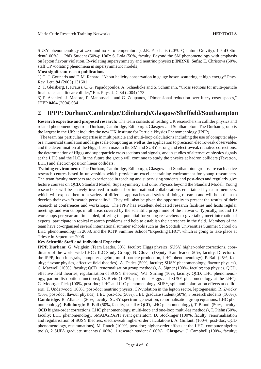SUSY phenomenology at zero and no-zero temperatures), J.E. Paschalis (20%, Quantum Gravity), 1 PhD Student(100%), 1 PhD Student (50%); **UoP**: S. Lola (50%, faculty, Beyond the SM phenomenology with emphasis on lepton flavour violation, R-violating supersymmetry and neutrino physics); **INRNE, Sofia**: E. Christova (50%, staff,CP violating phenomena in supersymmetric models)

#### **Most significant recent publications**

1) G. J. Gounaris and F. M. Renard, "About helicity conservation in gauge boson scattering at high energy," Phys. Rev. Lett. **94** (2005) 131601.

2) T. Gleisberg, F. Krauss, C. G. Papadopoulos, A. Schaelicke and S. Schumann, "Cross sections for multi-particle final states at a linear collider," Eur. Phys. J. C **34** (2004) 173

3) P. Aschieri, J. Madore, P. Manousselis and G. Zoupanos, "Dimensional reduction over fuzzy coset spaces," JHEP **0404** (2004) 034

## **2 IPPP: Durham/Cambridge/Edinburgh/Glasgow/Sheffield/Southampton**

**Research expertise and proposed research:** The team consists of leading UK researchers in collider physics and related phenomenology from Durham, Cambridge, Edinburgh, Glasgow and Southampton. The Durham group is the largest in the UK; it includes the new UK Institute for Particle Physics Phenomenology (IPPP) .

The team has particular expertise in multiparticle and multi-loop calculations including the use of computer algebra, numerical simulation and large scale computing as well as the application to precision electroweak observables and the determination of the Higgs boson mass in the SM and SUSY, strong and electroweak radiative corrections, the determination of Higgs and superparticle cross sections and signals, and in studies of alternative physics signals at the LHC and the ILC. In the future the group will continue to study the physics at hadron colliders (Tevatron, LHC) and electron-positron linear colliders.

**Training environment:** The Durham, Cambridge, Edinburgh, Glasgow and Southampton groups are each active research centres based in universities which provide an excellent training environment for young researchers. The team faculty members are experienced in teaching and supervising students and post-docs and regularly give lecture courses on QCD, Standard Model, Supersymmetry and other Physics beyond the Standard Model. Young researchers will be actively involved in national or international collaborations entertained by team members, which will expose them to a variety of different approaches and styles of doing research and will help them to develop their own "research personality". They will also be given the opportunity to present the results of their research at conferences and workshops. The IPPP has excellent dedicated research facilities and hosts regular meetings and workshops in all areas covered by the scientific programme of the network. Typically, around 10 workshops per year are timetabled, offering the potential for young researchers to give talks, meet international experts, participate in topical research problems and help to establish their presence in the field. Members of the team have co-organised several international summer schools such as the Scottish Universities Summer School on LHC phenomenology in 2003, and the ICTP Summer School "Expecting LHC", which is going to take place at Trieste in September 2006.

#### **Key Scientific Staff and Individual Expertise**

**IPPP, Durham**: G. Weiglein (Team Leader, 50%, faculty; Higgs physics, SUSY, higher-order corrections, coordinator of the world-wide LHC / ILC Study Group), N. Glover (Deputy Team leader, 50%, faculty, Director of the IPPP; loop integrals, computer algebra, multi-particle production, LHC phenomenology), P. Ball (25%, faculty; flavour physics, effective field theories), A. Dedes (50%, faculty; SUSY phenomenology, flavour physics), C. Maxwell (100%, faculty; QCD, renormalisation group methods), A. Signer (100%, faculty; top physics, QCD, effective field theories, regularisation of SUSY theories), W.J. Stirling (10%, faculty; QCD, LHC phenomenology, parton distribution functions), O. Brein (100%, post-doc; Higgs and SUSY phenomenology at the LHC), G. Moortgat-Pick (100%, post-doc; LHC and ILC phenomenology, SUSY, spin and polarisation effects at colliders), T. Underwood (100%, post-doc; neutrino physics, CP-violation in the lepton sector, leptogenesis), R. Zwicky (50%, post-doc; flavour physics), 1 EU post-doc (50%), 1 EU graduate student (50%), 3 research students (100%). **Cambridge**: B. Allanach (20%, faculty; SUSY spectrum generation, renormalisation group equations, LHC phenomenology). **Edinburgh**: R. Ball (50%, faculty; small x OCD, LHC phenomenology), T. Binoth (50%, faculty; QCD higher-order corrections, LHC phenomenology, multi-loop and one-loop multi-leg methods), T. Plehn (50%, faculty; LHC phenomenology, SMADGRAPH event generator), D. Stöckinger (100%, faculty; renormalisation and regularisation of SUSY theories, electroweak higher-order calculations), A. Guffanti (100%, post-doc; QCD phenomenology, resummations), M. Rauch (100%, post-doc; higher-order effects at the LHC, computer algebra tools), 2 SUPA graduate students (100%), 1 research student (100%). **Glasgow**: J. Campbell (100%, faculty;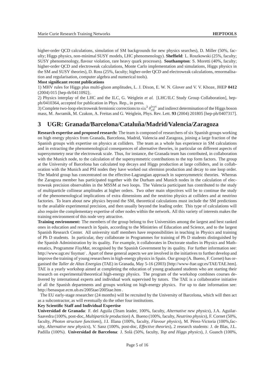higher-order QCD calculations, simulation of SM backgrounds for new physics searches), D. Miller (50%, faculty; Higgs physics, non-minimal SUSY models, LHC phenomenology). **Sheffield**: L. Roszkowski (25%, faculty; SUSY phenomenology, flavour violation, rare heavy quark processes). **Southampton**: S. Moretti (40%, faculty; higher-order QCD and electroweak calculations, Monte Carlo implementation and simulations, Higgs physics in the SM and SUSY theories), D. Ross (25%, faculty; higher-order QCD and electroweak calculations, renormalisation and regularisation, computer algebra and numerical tools).

#### **Most significant recent publications**

1) MHV rules for Higgs plus multi-gluon amplitudes, L. J. Dixon, E. W. N. Glover and V. V. Khoze, JHEP **0412** (2004) 015 [hep-th/0411092];.

2) Physics interplay of the LHC and the ILC, G. Weiglein *et al.* [LHC/ILC Study Group Collaboration], hepph/0410364, accepted for publication in Phys. Rep., in press.

3) Complete two-loop electroweak fermionic corrections to  $\sin^2\theta_{\text{eff}}^{\text{lept}}$  and indirect determination of the Higgs boson mass, M. Awramik, M. Czakon, A. Freitas and G. Weiglein, Phys. Rev. Lett. **93** (2004) 201805 [hep-ph/0407317].

## **3 UGR: Granada/Barcelona/Cataluna/Madrid/Valencia/Zaragoza ˜**

**Research expertise and proposed research:** The team is composed of researchers of six Spanish groups working on high energy physics from Granada, Barcelona, Madrid, Valencia and Zaragoza, joining a large fraction of the Spanish groups with expertise on physics at colliders. The team as a whole has experience in SM calculations and in extracting the phenomenological consequences of alternative theories, in particular on different aspects of supersymmetry near the electroweak scale. Thus, for instance, the Granada team has contributed, in collaboration with the Munich node, to the calculation of the supersymmetric contributions to the top form factors. The group at the University of Barcelona has calculated top decays and Higgs production at large colliders, and in collaboration with the Munich and PSI nodes they have worked out sfermion production and decay to one loop order. The Madrid group has concentrated on the effective-Lagrangian approach in supersymmetric theories. Whereas the Zaragoza member has participated together with the Durham and Munich nodes in the calculation of electroweak precision observables in the MSSM at two loops. The Valencia participant has contributed to the study of multiparticle collinear amplitudes at higher orders. Two other main objectives will be to continue the study of the phenomenological implications of extra dimensions and the neutrino physics at colliders and at neutrino factories. To learn about new physics beyond the SM, theoretical calculations must include the SM predictions to the available experimental precision, and then usually beyond the leading order. This type of calculations will also require the complementary expertise of other nodes within the network. All this variety of interests makes the training environment of this node very attractive.

**Training environment:** The members of the group belong to five Universities among the largest and best ranked ones in education and research in Spain, according to the Ministries of Education and Science, and to the largest Spanish Research Center. All university staff members have responsibilities in teaching in Physics and training of Ph D students. In particular, they collaborate in Programmes for training of Ph D students distinguished by the Spanish Administration by its quality. For example, it collaborates in Doctorate studies in Physics and Mathematics, Programme *FisyMat*, recognised by the Spanish Government by its quality. For further information see: http://www.ugr.es/ fisymat/ . Apart of these general aspects we are involved in the initiatives to further develop and improve the training of young researchers in high-energy physics in Spain. Our group (A. Bueno, F. Cornet) has organised the *Taller de Altas Energías* (TAE) in Granada, May 5-16 (2003) [http://www-ftae.ugr.es/TAE/TAE.htm]. TAE is a yearly workshop aimed at completing the education of young graduated students who are starting their research on experimental/theoretical high-energy physics. The program of the workshop combines courses delivered by international experts and individual work supervised by tutors. The TAE is a collaborative initiative of all the Spanish departments and groups working on high-energy physics. For up to date information see: http://benasque.ecm.ub.es/2005tae/2005tae.htm .

The EU early-stage researcher (24 months) will be recruited by the University of Barcelona, which will then act as a subcontractor, as will eventually do the other four institutions.

#### **Key Scientific Staff and Individual Expertise**

**Universidad de Granada**: F. del Aguila (Team leader, 100%, faculty, *Alternative new physics*), J.A. Aguilar-Saavedra (100%, post-doc, *Multiparticle production*) A. Bueno (100%, faculty, *Neutrino physics*), F. Cornet (50%, faculty, *Photon structure functions*), J.I. Illana (100%, faculty, *Flavour physics*), M. Pérez-Victoria (100%,faculty, *Alternative new physics*), V. Sanz (100%, post-doc, *Effective theories*), 2 research students: J. de Blas, J.L. Padilla (100%). **Universidad de Barcelona**: J. Solà (50%, faculty, *Top and Higgs physics*), J. Guasch (100%,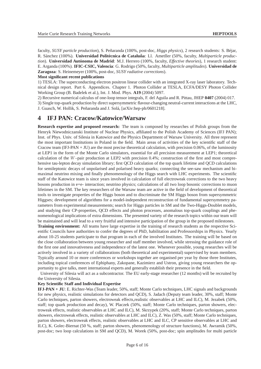faculty, *SUSY particle production*), S. Peñaranda (100%, post-doc, *Higgs physics*), 2 research students: S. Béjar, R. Sánchez (100%). **Universidad Politécnica de Cataluña**: Ll. Ametller (50%, faculty, *Multiparticle production*). **Universidad Autónoma de Madrid**: M.J. Herrero (100%, faculty, *Effective theories*), 1 research student: E. Arganda (100%). **IFIC-CSIC, Valencia**: G. Rodrigo (50%, faculty, *Multiparticle amplitudes*). **Universidad de Zaragoza**: S. Heinemeyer (100%, post-doc, *SUSY radiative corrections*).

#### **Most significant recent publications**

1) TESLA: The superconducting electron positron linear collider with an integrated X-ray laser laboratory. Technical design report. Part 6. Appendices. Chapter 1. Photon Collider at TESLA, ECFA/DESY Photon Collider Working Group (B. Badelek et al.), Int. J. Mod. Phys. **A19** (2004) 5097.

2) Recursive numerical calculus of one-loop tensor integrals, F. del Aguila and R. Pittau, JHEP **0407** (2004) 017.

3) Single top-quark production by direct supersymmetric flavour-changing neutral-current interactions at the LHC, J. Guasch, W. Hollik, S. Peñaranda and J. Solá, [arXiv:hep-ph/0601218].

## **4 IFJ PAN: Cracow/Katowice/Warsaw**

**Research expertise and proposed research:** The team is composed by researches of Polish groups from the Henryk Niewodniczanski Institute of Nuclear Physics, affiliated to the Polish Academy of Sciences (IFJ PAN); Inst. of Phys. Univ. of Silesia in Katowice and the Physics Department of Warsaw University. All three represent the most important Institutions in Poland in the field. Main areas of activities of the key scientific staff of the Cracow team (IFJ-PAN + JU) are the most precise theoretical calculation, with precision  $0.06\%$ , of the luminosity at LEP1 in the form of the Monte Carlo simulators, essential for all precision measurement at LEP1; theoretical calculation of the W–pair production at LEP2 with precision 0.4%; construction of the first and most comprehensive tau-lepton decay simulation library; first QCD calculation of the top quark lifetime and QCD calculations for semileptonic decays of unpolarised and polarised heavy quarks; connecting the see-saw mechanism and bimaximal neutrino mixing and finally phenomenology of the Higgs search with LHC experiments. The scientific staff of the Katowice team is since years involved in calculation of full electroweak corrections to the two heavy bosons production in e+e- interaction; neutrino physics; calculations of all two loop bosonic corrections to muon lifetimes in the SM. The key researchers of the Warsaw team are active in the field of development of theoretical tools to investigate properties of the Higgs boson and to discriminate the SM Higgs boson from supersymmetric Higgses; development of algorithms for a model-independent reconstruction of fundamental supersymmetry parameters from experimental measurements; search for Higgs particles in SM and the Two-Higgs-Doublet models, and studying their CP-properties, QCD effects and photon processes, anomalous top-quark couplings and phenomenological implications of extra dimensions. The presented variety of the research topics within our team will be maintained and will lead to a very fruitful and intensive participation of the group in the proposed milestones. **Training environment:** All teams have large expertise in the training of research students as the respective Scientific Councils have authorities to confer the degrees of PhD, habilitation and Professorships in Physics. Yearly about 10-25 students participate to that program in each of the involved Institutes. The training will be based on the close collaboration between young researcher and staff member involved, while stressing the guidance role of the first one and innovativeness and independence of the latest one. Whenever possible, young researches will be

actively involved in a variety of collaborations (both theoretical and experimental) supervised by team members. Typically around 10 or more conferences or workshops together are organised per year by those three Institutes, including topical conferences of Ephiphany, Zakopane, Kazimierz and Ustron, giving young researchers the opportunity to give talks, meet international experts and generally establish their presence in the field.

University of Silesia will act as a subcontractor. The EU early-stage researcher (12 months) will be recruited by the University of Silesia.

#### **Key Scientific Staff and Individual Expertise**

**IFJ-PAN + JU**: E. Richter-Was (Team leader, 50%, staff; Monte Carlo techniques, LHC signals and backgrounds for new physics, realistic simulations for detectors and QCD), S. Jadach (Deputy team leader, 30%, staff; Monte Carlo techniques, parton showers, electroweak effects,realistic observables at LHC and ILC), M. Jezabek (50%, staff; top quark production and decay), W. Placzek (50%, staff; Monte Carlo techniques, parton showers, electroweak effects, realistic observables at LHC and ILC), M. Skrzypek (20%, staff; Monte Carlo techniques, parton showers, electroweak effects, realistic observables at LHC and ILC), Z. Was (50%, staff; Monte Carlo techniques, parton showers, electroweak effects, realistic observables at LHC and ILC, CP sensitive observables at LHC and ILC), K. Golec-Biernat (50 %, staff; parton showers, phenomenology of structure functions), M. Awramik (50%, post-doc; two loop calculations in SM and QCD), M. Worek (50%, post-doc; spin amplitudes for multi particle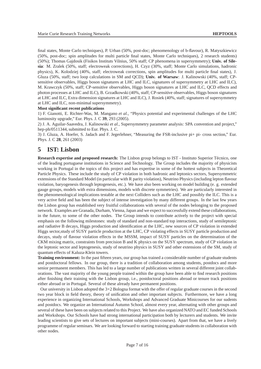final states, Monte Carlo techniques), P. Urban (50%, post-doc; phenomenology of b-flavour), R. Matyszkiewicz (50%, post-doc; spin amplitudes for multi particle final states, Monte Carlo techniques), 2 research students) (50%); Thomas Gajdosik (Fisikos Instituts Vilnius, 50% staff; CP phenomena in supersymmetry); **Univ. of Silesia**: M. Zralek (50%, staff; electroweak corrections), H. Czyz (30%, staff; Monte Carlo simulations, hadronic physics), K. Kolodziej (40%, staff; electroweak corrections, spin amplitudes for multi particle final states), J. Gluza (50%, staff; two loop calculations in SM and QCD); **Univ. of Warsaw**: J. Kalinowski (40%, staff; CPsensitive observables, Higgs boson signatures at LHC and ILC, signatures of supersymmetry at LHC and ILC), M. Krawczyk (50%, staff; CP-sensitive observables, Higgs boson signatures at LHC and ILC, QCD effects and photon processes at LHC and ILC), B. Grzadkowski (40%, staff; CP-sensitive observables, Higgs boson signatures at LHC and ILC, Extra dimension signatures at LHC and ILC), J. Rosiek (40%, staff; signatures of supersymmetry at LHC and ILC, non-minimal supersymmetry).

#### **Most significant recent publications**

1) F. Gianotti, E. Richter-Was, M. Mangano *et al.*, "Physics potential and experimental challenges of the LHC luminosity upgrade," Eur. Phys. J. C **39**, 293 (2005).

2) J. A. Aguilar-Saavedra, J. Kalinowski *et al.*, Supersymmetry parameter analysis: SPA convention and project," hep-ph/0511344, submitted to Eur. Phys. J. C.

3) J. Gluza, A. Hoefer, S. Jadach and F. Jegerlehner, "Measuring the FSR-inclusive pi+ pi- cross section," Eur. Phys. J. C **28**, 261 (2003)

## **5 IST: Lisbon**

**Research expertise and proposed research:** The Lisbon group belongs to IST - Instituto Superior Técnico, one of the leading portuguese institutions in Science and Technology. The Group includes the majority of physicists working in Portugal in the topics of this project and has expertise in some of the hottest subjects in Theoretical Particle Physics. These include the study of CP violation in both hadronic and leptonics sectors, Supersymmetric extensions of the Standard Model (in particular with R parity violation), Neutrino Physics (including lepton flavour violation, baryogenesis through leptogenesis, etc.). We have also been working on model building (e. g. extended gauge groups, models with extra dimensions, models with discrete symmetries). We are particularly interested in the phenomenological implications testable at the next Colliders such as the LHC and possibly the ILC. This is a very active field and has been the subject of intense investigation by many different groups. In the last few years the Lisbon group has established very fruitful collaborations with several of the nodes belonging to the proposed network. Examples are Granada, Durham, Vienna, Japan and we expect to successfully extend these collaborations, in the future, to some of the other nodes. The Group intends to contribute actively to the project with special emphasis on the following milestones: study of standard and non-standard top interactions, study of semileptonic and radiative B decays, Higgs production and identification at the LHC, new sources of CP violation in extended Higgs sector,study of SUSY particle production at the LHC, CP violating effects in SUSY particle production and decays, study of flavour violation effects in the MSSM, impact of SUSY particles on the determination of the CKM mixing matrix, constraints from precision B and K physics on the SUSY spectrum, study of CP violation in the leptonic sector and leptogenesis, study of neutrino physics in SUSY and other extensions of the SM, study of quantum effects of Kaluza-Klein towers.

**Training environment:** In the past fifteen years, our group has trained a considerable number of graduate students and postdoctoral fellows. In our group, there is a tradition of collaboration among students, postdocs and more senior permanent members. This has led to a large number of publications written in several different joint collaborations. The vast majority of the young people trained within the group have been able to find research positions after finishing their training with the Lisbon group, i.e., postdoctoral positions abroad or tenure track positions either abroad or in Portugal. Several of these already have permanent positions.

Our university in Lisbon adopted the 3+2 Bologna format with the offer of regular graduate courses in the second two year block in field theory, theory of unification and other important subjects. Furthermore, we have a long experience in organizing International Schools, Workshops and Advanced Graduate Minicourses for our sudents and postdocs. We organize an International Autumn School, almost every year, alternating with other groups and several of these have been on subjects related to this Project. We have also organized NATO and EC funded Schools and Workshops. Our Schools have had strong international participation both by lecturers and students. We invite leading scientists to give sets of lectures on important subjects (mini-courses). Apart from that, we have a lively programme of regular seminars. We are looking forward to starting training graduate students in collaboration with other nodes.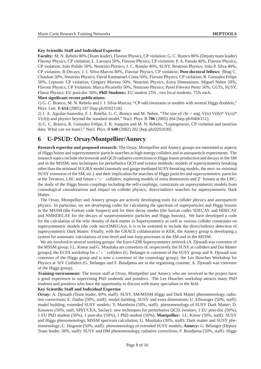#### **Key Scientific Staff and Individual Expertise**

**Faculty:** M. N. Rebelo 80% (Team leader), Flavour Physics, CP violation; G. C. Branco 80% (Deputy team leader) Flavour Physics, CP violation; L. Lavoura 50%, Flavour Physics, CP violation; P. A. Parada 40%, Flavour Physics, CP violation; Jo˜ao Pulido 50%, Neutrino Physics; J. C. Rom˜ao 40%, SUSY, Neutrino Physics; Jo˜ao P. Silva 40%, CP violation, B Decays; J. I. Silva-Marcos 80%, Flavour Physics, CP violation; **Post-doctoral fellows:** Bhag C. Chauhan 50%, Neutrino Physics; David Emmanuel-Costa 50%, Flavour Physics, CP violation; R. Gonzalez Felipe 50%, Leptonic CP violation; Gregory Moreau 50%, Neutrino Physics, Extra Dimensions; Miguel Nebot 50%, Flavour Physics, CP Violation; Marco Picariello 50%, Neutrino Physics; Pavel Fileviez Perez 50%, GUTs, SUSY, Flavor Physics; EU post-doc 50%; **PhD Students:** EU student 25% , two local students, 75% each.

**Most significant recent publications:**

1) G. C. Branco, M. N. Rebelo and J. I. Silva-Marcos, "CP-odd invariants in models with several Higgs doublets," Phys. Lett. B **614** (2005) 187 [hep-ph/0502118].

2) J. A. Aguilar-Saavedra, F. J. Botella, G. C. Branco and M. Nebot, "The size of chi =  $\arg(-V(ts) V(ts)*V(cs)*$ V(cb)) and physics beyond the standard model," Nucl. Phys. B **706** (2005) 204 [hep-ph/0406151].

3) G. C. Branco, R. Gonzalez Felipe, F. R. Joaquim and M. N. Rebelo, "Leptogenesis, CP violation and neutrino data: What can we learn?," Nucl. Phys. B **640** (2002) 202 [hep-ph/0202030].

## **6 U-PSUD: Orsay/Montpellier/Annecy**

**Research expertise and proposed research:** The Orsay, Montpellier and Annecy groups are interested in aspects of Higgs boson and supersymmetric particle searches at high-energy colliders and in astroparticle experiments. The research topics include electroweak and QCD radiative corrections to Higgs boson production and decays in the SM and in the MSSM; new techniques for perturbative QCD and twistor methods; models of supersymmetry breaking other than the minimal SUGRA model (anomaly and gauge mediated SUSY-breaking models, the next–to–minimal SUSY extension of the SM, etc.) and their implication for searches of Higgs particles and supersymmetric particles at the Tevatron, LHC and future  $e^+e^-$  colliders; exploring models of extra dimensions and Z' bosons at the LHC; the study of the Higgs boson couplings including the self-couplings; constraints on supersymmetric models from cosmological considerations and impact on collider physics; direct/indirect searches for supersymmetric Dark Matter.

The Orsay, Montpellier and Annecy groups are actively developing tools for collider physics and astroparticle physics. In particular, we are developing codes for calculating the spectrum of superparticles and Higgs bosons in the MSSM (the Fortran code Suspect) and for their decay modes (the fortran codes SDECAY and HDECAY and NMHDECAY for the decays of suspersymmetric particles and Higgs bosons). We have developed a code for the calculation of the relic density of dark matter in Supersymmetry as well as various collider constraints on supersymmetric models (the code micrOMEGAs); it is to be extented to include the direct/indirect detection of supersymmetric Dark Matter. Finally, with the GRACE collaboration in KEK, the Annecy group is developing a system for automatic calculations of tree-level and one-loop processes in the SM and in the MSSM.

We are involved in several working groups: the Euro-GDR Supersymmetry network (A. Djouadi was convenor of the MSSM group; J.L. Kneur and G. Moultaka are convenors of, respectively, the SUSY at colliders and Dar Matter groups); the ECFA workshop for  $e^+e^-$  colliders (G. Belanger is convenor of the SUSY group and A. Djouadi was convenor of the Higgs group and is now a convenor of the cosmology group); the Les Houches Workshop for Physics at TeV Colliders (G. Belanger and F. Boudjema are in the organising comitee, A. Djouadi was convenor of the Higgs group).

**Training environment:** The tenure staff at Orsay, Montpellier and Annecy who are involved in the project have a good experience in supervising PhD studends and postdocs. The Les Houches workshop attracts many PhD students and postdocs who have the opportunity to discuss with many specialists in the field.

#### **Key Scientific Staff and Individual Expertise**

**Orsay:** A. Djouadi (Team leader, 60%, staff): SUSY, SM/MSSM Higgs and Dark Matter phenomenology, radiative corrections; E. Dudas (50%, staff): model building, SUSY and extra dimensions; U. Ellwanger (50%, staff): model building, extended SUSY models; Y. Mambrini (50%, staff): phenomenology of SUSY Dark Matter; D. Kosower (50%, staff, SPhT/CEA, Saclay): new techniques for perturbative QCD, twistors; 1 EU post-doc (50%), 1 EU PhD student (50%), 1 post-doc (50%), 1 PhD student (50%); **Montpellier:** J.L. Kneur (50%, staff): SUSY and Higgs phenomenology, MSSM spectrum calculation; G. Moultaka (30%, staff): Dark matter and SUSY phenomenology; C. Hugonie (50%, staff): phenomenology of extended SUSY models; **Annecy:** G. Bélanger (Deputy Team leader, 50%, staff): SUSY and DM phenomenology, radiative corrections; F. Boudjema (50%, staff): Higgs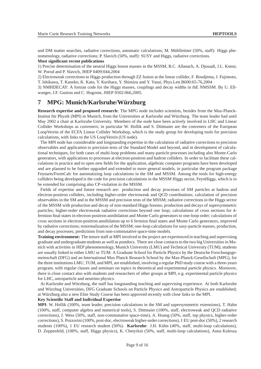and DM matter searches, radiative corrections, automatic calculations; M. Mühlleitner (50%, staff): Higgs phenomenology, radiative corrections; P. Slavich (50%, staff): SUSY and Higgs, radiative corrections.

#### **Most significant recent publications**

1) Precise determination of the neutral Higgs boson masses in the MSSM, B.C. Allanach, A. Djouadi, J.L. Kneur, W. Porod and P. Slavich, JHEP 0409:044,2004

2) Electroweak corrections to Higgs production through ZZ fusion at the linear collider, F. Boudjema, J. Fujimoto, T. Ishikawa, T. Kaneko, K. Kato, Y. Kurihara, Y. Shimizu and Y. Yasui, Phys.Lett.B600:65-76,2004

3) NMHDECAY: A fortran code for the Higgs masses, couplings and decay widths in thE NMSSM. By U. Ellwanger, J.F. Gunion and C. Hugonie, JHEP 0502:066,2005.

## **7 MPG: Munich/Karlsruhe/Wurzburg ¨**

**Research expertise and proposed research:** The MPG node includes scientists, besides from the Max-Planck-Institut für Physik (MPI) in Munich, from the Universities at Karlsruhe and Würzburg. The team leader had until May 2002 a chair at Karlsruhe University. Members of the node have been actively involved in LHC and Linear Collider Workshops as conveners; in particular W. Hollik and S. Dittmaier are the conveners of the European LoopVerein of the ECFA Linear Collider Workshop, which is the study group for developing tools for precision calculations, with links to the US LoopVerein (US node).

The MPI node has considerable and longstanding expertise in the calculation of radiative corrections to precision observables and application to precision tests of the Standard Model and beyond, and in development of calculational techniques, for both cases of multi-loop problems and many-particle processes including also Monte-Carlo generators, with applications to processes at electron-positron and hadron colliders. In order to facilitate these calculations in practice and to open new fields for the application, algebraic computer programs have been developed and are planned to be further upgraded and extended to more general models, in particular the program package Feynarts/FormCalc for automatizing loop calculations in the SM and MSSM. Among the tools for high-energy colliders being developed is the code for precision calculations in the MSSM Higgs sector, FeynHiggs, which is to be extended for comprising also CP-violation in the MSSM.

Fields of expertise and future research are: production and decay processes of SM particles at hadron and electron-positron colliders, including higher-order electroweak and QCD contributions; calculation of precision observables in the SM and in the MSSM and precision tests of the MSSM; radiative corrections in the Higgs sector of the MSSM with production and decay of non-standard Higgs bosons; production and decays of supersymmetric particles; higher-order electroweak radiative corrections beyond one loop; calculations of cross sections for 4 fermion final states in electron-positron annihilation and Monte Carlo generators to one-loop order; calculations of cross sections in electron-positron annihilation up to 6 fermion final states and Monte Carlo generators, improved by radiative corrections; renormalization of the MSSM; one-loop calculations for susy-particle masses, production, and decay processes; predictions from non-commutative space-time models.

**Training environment:** The tenure staff at MPI involved in the project are experienced in teaching and supervising graduate and undergraduate students as well as postdocs. There are close contacts to the two big Universities in Munich with activities in HEP phenomenology, Munich University (LMU) and Technical University (TUM); students are usually linked to either LMU or TUM. A Graduate School for Particle Physics by the Deutsche Forschungsgemeinschaft (DFG) and an International Max Planck Research School by the Max-Planck-Gesellschaft (MPG), for the three institutions LMU, TUM, and MPI, are established, involving a regular PhD study course with a three-years program, with regular classes and seminars on topics in theoretical and experimental particle physics. Moreover, there is close contact also with students and researchers of other groups at MPI, e.g. experimental particle physics for LHC, astroparticle and neutrino physics.

At Karlsruhe and Würzburg, the staff has longstanding teaching and supervising experience. At both Karlsruhe and Würzbug Universities, DFG Graduate Schools on Particle Physics and Astroparticle Physics are established; at Würzburg also a new Elite Study Course has been approved recently with close links to the MPI.

#### **Key Scientific Staff and Individual Expertise**

**MPI**: W. Hollik (100%, team leader, precision calculations in the SM and supersymmetric extensions), T. Hahn (100%, staff, computer algebra and numerical tools), S. Dittmaier (100%, staff, electroweak and QCD radiative corrections), J. Wess (50%, staff, non-commutative space-time), A. Hoang (50%, staff, top physics, higher-order corrections), S. Pozzorini (100%, post-doc, electroweak higher-order corrections), 1 EU post-doc (50%), 2 research students (100%), 1 EU research student (50%). **Karlsruhe**: J.H. Kühn (40%, staff, multi-loop calculations), D. Zeppenfeld, (100%, staff, Higgs physics), K. Chetyrkin (50%, staff, multi-loop calculations), Anna Kulesza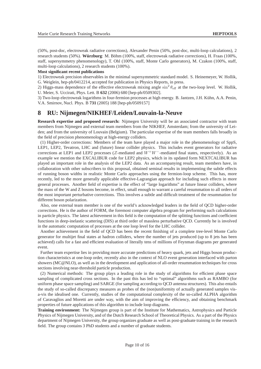(50%, post-doc, electroweak radiative corrections), Alexander Penin (50%, post-doc, multi-loop calculations), 2 research students (50%). **Würzburg**: M. Böhm (100%, staff, electroweak radiative corrections), H. Fraas (100%, staff, supersymmetry phenomenology), T. Ohl (100%, staff, Monte Carlo generators), M. Czakon (100%, staff, multi-loop calculations), 2 research students (100%).

#### **Most significant recent publications**

1) Electroweak precision observables in the minimal supersymmetric standard model. S. Heinemeyer, W. Hollik, G. Weiglein, hep-ph/0412214, accepted for publication in Physics Reports, in press.

2) Higgs-mass dependence of the effective electroweak mixing angle  $\sin^2 \theta_{\text{eff}}$  at the two-loop level. W. Hollik, U. Meier, S. Uccirati, Phys. Lett. B **632** (2006) 680 [hep-ph/0509302].

3) Two-loop electroweak logarithms in four-fermion processes at high energy. B. Jantzen, J.H. Kühn, A.A. Penin, V.A. Smirnov, Nucl. Phys. B **731** (2005) 188 [hep-ph/0509157]

## **8 RU: Nijmegen/NIKHEF/Leiden/Louvain-la-Neuve**

**Research expertise and proposed research:** Nijmegen University will be an associated contractor with team members from Nijmegen and external team members from the NIKHEF, Amsterdam; from the university of Leiden; and from the university of Louvain (Belgium). The particular expertise of the team members falls broadly in the field of precision phenomenology at high-energy colliders.

(1) Higher-order corrections: Members of the team have played a major role in the phenomenology of SppS, LEP1, LEP2, Tevatron, LHC and (future) linear collider physics. This includes event generators for radiative corrections at LEP1 and LEP2 processes (Z-mediated and  $W^+W^-$ -mediated final states, respectively). As an example we mention the EXCALIBUR code for LEP2 physics, which in its updated form NEXTCALIBUR has played an important role in the analysis of the LEP2 data. As an accompanying result, team members have, in collaboration with other subscribers to this proposal, obtained seminal results in implementing the subtle effects of running boson widths in realistic Monte Carlo approaches using the fermion-loop scheme. This has, more recently, led to the more generally applicable effective-Lagrangian approach for including such effects in more general processes. Another field of expertise is the effect of "large logarithms" at future linear colliders, where the mass of the W and Z bosons become, in effect, small enough to warrant a careful resummation to all orders of the most important perturbative corrections. This involves a subtle and difficult treatment of the resummation for different boson polarization.

Also, one external team member is one of the world's acknowledged leaders in the field of QCD higher-order corrections. He is the author of FORM, the foremost computer algebra program for performing such calculations in particle physics. The latest achievement in this field is the computation of the splitting functions and coefficient functions in deep-inelastic scattering (DIS) at third order of massless perturbative QCD. Currently he is involved in the automatic computation of processes at the one loop level for the LHC collider.

Another achievement in the field of QCD has been the recent finishing of a complete tree-level Monte Carlo generator for multijet final states at hadron colliders, where the number of jets produced (up to 8 jets has been achieved) calls for a fast and efficient evaluation of literally tens of millions of Feynman diagrams per generated event.

Further team expertise lies in providing more accurate predictions of heavy quark, jets and Higgs boson production characteristics at one-loop order, recently also in the context of NLO event generation interfaced with parton showers (MC@NLO), as well as in the development and application of all-order resummation techniques for cross sections involving near-threshold particle production.

(2) Numerical methods: The group plays a leading role in the study of algorithms for efficient phase space sampling of complicated cross sections. In the past this has led to "optimal" algorithms such as RAMBO (for uniform phase space sampling) and SARGE (for sampling according to QCD antenna structures). This also entails the study of so-called discrepancy measures as probes of the (non)uniformity of actually generated samples visa-vis the idealised one. Currently, studies of the computational complexity of the so-called ALPHA algorithm of Caravaglios and Moretti are under way, with the aim of improving the efficiency, and obtaining benchmark properties of future applications of this algorithm to include loop diagrams.

**Training environment:** The Nijmegen group is part of the Institute for Mathematics, Astrophysics and Particle Physics of Nijmegen University, and of the Dutch Research School of Theoretical Physics. As a part of the Physics department of Nijmegen University, the group organizes graduate as well as post-graduate training in the research field. The group contains 3 PhD students and a number of graduate students.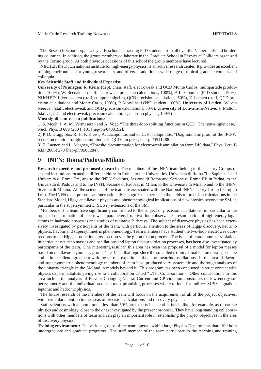The Research School organizes yearly schools attracting PhD students from all over the Netherlands and bordering countries. In addition, the group members collaborate in the Graduate School in Physics at Colliders organized by the Torino group. At both previous occasions of this school the group members have lectured.

NIKHEF, the Dutch national institute for high-energy physics, is an active research center. It provides an excellent training environment for young researchers, and offers in addition a wide range of topical graduate courses and colloquia.

#### **Key Scientific Staff and Individual Expertise**

**University of Nijmegen**: R. Kleiss (dept. chair, staff, electroweak and QCD Monte Carlos, multiparticle production, 100%), W. Beenakker (staff,electroweak precision calculations, 100%), A.Lazopoulos (PhD student, 50%), **NIKHEF**: J. Vermaseren (staff, computer algebra, QCD precision calculations, 50%), E. Laenen (staff, QCD precision calculations and Monte Carlo, 100%), P. Motylinski (PhD student, 100%), **University of Leiden**: W. van Neerven (staff, electroweak and QCD precision calculations, 50%), **University of Louvain-la-Neuve**: F. Maltoni (staff. QCD and electroweak precision calculations, neutrino physics, 100%)

#### **Most significant recent publications:**

1) S. Moch, J. A. M. Vermaseren and A. Vogt, "The three-loop splitting functions in QCD: The non-singlet case," Nucl. Phys. B **688** (2004) 101 [hep-ph/0403192].

2) P. D. Draggiotis, R. H. P. Kleiss, A. Lazopoulos and C. G. Papadopoulos, "Diagrammatic proof of the BCFW recursion relation for gluon amplitudes in QCD," in press, hep-ph/0511288.

3) E. Laenen and L. Magnea, "Threshold resummation for electroweak annihilation from DIS data," Phys. Lett. B **632** (2006) 270 [hep-ph/0508284].

## **9 INFN: Roma/Padova/Milano**

**Research expertise and proposed research:** The members of the INFN team belong to the Theory Groups of several institutions located in different cities: in Rome, to the Universities, Università di Roma "La Sapienza" and Università di Roma Tre, and to the INFN Sections, Sezione di Roma and Sezione di Roma III; in Padua, to the Università di Padova and to the INFN, Sezione di Padova; in Milan, to the Università di Milano and to the INFN, Sezione di Milano. All the scientists of the team are associated with the National INFN Theory Group ("Gruppo IV"). The INFN team presents an internationally recognized expertise in the fields of precision calculations in the Standard Model, Higgs and flavour physics and phenomenological implications of new physics beyond the SM, in particular in the supersymmetric (SUSY) extensions of the SM.

Members of the team have significantly contributed to the subject of precision calculations, in particular to the topics of determination of electroweak parameters from two-loop observables, resummation of high-energy logarithms in hadronic processes and studies of radiative B decays. The subject of discovery physics has been extensively investigated by participants of the team, with particular attention to the areas of Higgs discovery, neutrino physics, flavour and supersymmetric phenomenology. Team members have studied the two-loop electroweak corrections to the Higgs production cross section via the gluon fusion process. The issue of lepton number violation, in particular neutrino masses and oscillations and lepton flavour violation processes, has been also investigated by participants of the team. One interesting result in this area has been the proposal of a model for lepton masses based on the flavour symmetry group  $A_4 \times U(1)$  that reproduce the so-called tri-bimaximal lepton mixing scheme and is in excellent agreement with the current experimental data on neutrino oscillations. In the area of flavour and supersymmetric phenomenology members of team have produced very systematic and thorough analyses of the unitarity triangle in the SM and in models beyond it. This program has been conducted in strict contact with physics experimentalists giving rise to a collaboration called "UTfit Collaboration". Other contributions in this area include the analysis of Flavour Changing Neutral Current and CP violation constraints on low-energy supersymmetry and the individuation of the most promising processes where to look for indirect SUSY signals in leptonic and hadronic physics.

The future research of the members of the team will focus on the acquirement of all of the project objectives, with particular attention to the areas of precision calculations and discovery physics.

Staff scientists with a commitment less than 50% are experts in scientific fields, like, for example, astroparticle physics and cosmology, close to the ones investigated by the present proposal. They have long standing collaborations with other members of team and can play an important role in establishing the project objectives in the area of discovery physics.

**Training environment:** The various groups of the team operate within large Physics Departments that offer both undergraduate and graduate programs. The staff member of the team participate to the teaching and training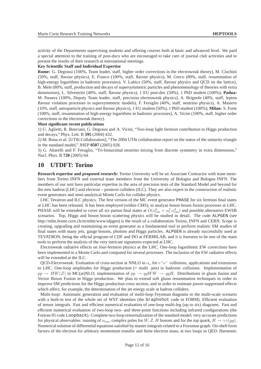activity of the Departments supervising students and offering courses both at basic and advanced level. We paid a special attention to the training of post-docs who are encouraged to take care of journal club activities and to present the results of their research at international meetings.

#### **Key Scientific Staff and Individual Expertise**

**Rome:** G. Degrassi (100%, Team leader, staff, higher order corrections in the electroweak theory), M. Ciuchini (50%, staff, flavour physics), E. Franco (100%, staff, flavour physics), M. Greco (80%, staff, resummation of high-energy logarithms in hadronic processes), V. Lubicz (50%, staff, flavour physics and QCD on the lattice), B. Mele (80%, staff, production and decays of supersymmetric particles and phenomenology of theories with extra dimensions), L. Silvestrini (40%, staff, flavour physics), 1 EU post-doc (50%), 1 PhD student (100%); **Padua:** M. Passera (100%, Deputy Team leader, staff, precision electroweak physics), A. Brignole (40%, staff, lepton flavour violation processes in supersymmetric models), F. Feruglio (40%, staff, neutrino physics), A. Masiero (10%, staff, astroparticle physics and flavour physics), 1 EU student (50%), 1 PhD student (100%); **Milan:** S. Forte (100%, staff, resummation of high-energy logarithms in hadronic processes), A. Vicini (100%, staff, higher order corrections in the electroweak theory).

#### **Most significant recent publications**

1) U. Aglietti, R. Bonciani, G. Degrassi and A. Vicini, "Two-loop light fermion contribution to Higgs production and decays," Phys. Lett. B **595** (2004) 432.

2) M. Bona *et al.* [UTfit Collaboration], "The 2004 UTfit collaboration report on the status of the unitarity triangle in the standard model," JHEP **0507** (2005) 028.

3) G. Altarelli and F. Feruglio, "Tri-bimaximal neutrino mixing from discrete symmetry in extra dimensions," Nucl. Phys. B **720** (2005) 64.

## **10 UTDFT: Torino**

**Research expertise and proposed research:** Torino University will be an Associate Contractor with team members from Torino INFN and external team members from the University of Bologna and Bologna INFN. The members of our unit have particular expertise in the area of precision tests of the Standard Model and beyond for the new hadron (LHC) and electron – positron colliders (ILC). They are also expert in the construction of realistic event generators and semi-analytical Monte Carlo for collider physics.

LHC Tevatron and ILC physics. The first version of the MC event generator PHASE for six fermion final states at LHC has been released. It has been employed (within CMS), to analyze boson boson fusion processes at LHC. PHASE will be extended to cover all six parton final states at  $O(\alpha_{em}^6 + \alpha_s^2 \alpha_{em}^4)$  and possible alternative EWSB scenarios. Top, Higgs and boson boson scattering physics will be studied in detail. The code ALPGEN (see http://mlm.home.cern.ch/m/mlm/www/alpgen) is the result of a collaboration Torino, INFN and CERN. Scope is creating, upgrading and maintaining an event generator as a fundamental tool to perform realistic SM studies of final states with many jets, gauge bosons, photons and Higgs particles. ALPGEN is already successfully used at TEVATRON, being the official program of CDF and DO at FERMILAB, and it is foreseen to be one of the main tools to perform the analysis of the very intricate signatures expected at LHC.

Electroweak radiative effects on four-fermion physics at the LHC. One-loop logarithmic EW corrections have been implemented in a Monte Carlo and computed for several processes. The inclusion of the EW radiative effects will be extended at the ILC.

QCD-Electroweak: Evaluation of cross-section at NNLO in  $\alpha_s$  for  $e^+e^-$  collisions, applications and extensions to LHC. One-loop amplitudes for Higgs production (+ multi -jets) in hadronic collisions. Implementation of  $pp \rightarrow HW(Z)$  in MC(at)NLO; implementation of  $pp \rightarrow qqWW \rightarrow qqH$ . Distributions in gluon fusion and Vector Boson Fusion in Higgs production. We plan to extend soft gluon resummation techniques in order to improve SM predictions for the Higgs production cross section, and in order to estimate power-suppressed effects which affect, for example, the determination of the jet energy scale at hadron colliders.

Multi-loop: Automatic generation and evaluation of multi-loop Feynman diagrams in the multi-scale scenario with a built-in test of the whole set of WST identities (the Graphshot code in FORM). Efficient evaluation of tensor integrals. Fast and efficient numerical evaluation of one-loop multi-leg (up to six) diagrams. Fast and efficient numerical evaluation of two-loop two- and three-point functions including infrared configurations (the Fortran 95 code Loopback). Complete two-loop renormalization of the standard model; very accurate predictions for physical observables: running of  $\alpha_{em}$ , complex poles for W, Z, H bosons and for the top quark,  $H \to \gamma \gamma (gg)$ . Numerical solution of differential equations satisfied by master integrals related to a Feynman graph. On-shell form factors of the electron for arbitrary momentum transfer and finite electron mass, at two loops in QED. Harmonic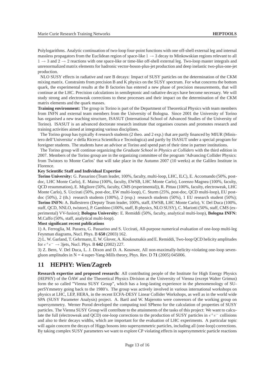Polylogarithms. Analytic continuation of two-loop four-point functions with one off-shell external leg and internal massless propagators from the Euclidean region of space-like  $1 \rightarrow 3$  decay to Minkowskian regions relevant to all  $1 \rightarrow 3$  and  $2 \rightarrow 2$  reactions with one space-like or time-like off-shell external leg. Two-loop master integrals and unrenormalized matrix elements for hadronic vector-boson-plus-jet production and deep inelastic two-plus-one-jet production.

NLO SUSY effects in radiative and rare B decays: Impact of SUSY particles on the determination of the CKM mixing matrix. Constraints from precision B and K physics on the SUSY spectrum. For what concerns the bottom quark, the experimental results at the B factories has entered a new phase of precision measurements, that will continue at the LHC. Precision calculations in semileptonic and radiative decays have become necessary. We will study strong and electroweak corrections to these processes and their impact on the determination of the CKM matrix elements and the quark masses.

**Training environment:** The group in Torino is part of the Department of Theoretical Physics with team members from INFN and external team members from the University of Bologna. Since 2001 the University of Torino has organised a new teaching structure, ISASUT (International School of Advanced Studies of the University of Torino). ISASUT is an advanced doctorate research institute that organises courses and promotes research and training activities aimed at integrating various disciplines.

The Torino group has typically 4 research students (2 theo. and 2 exp.) that are partly financed by MIUR (Ministero dell'Universita' e della Ricerca Scientifica e Tecnologica) and partly by ISASUT under a special program for foreigner students. The students have an advisor at Torino and spend part of their time in partner institutions.

The Torino group will continue organizing the *Graduate School in Physics at Colliders* with the third edition in 2007. Members of the Torino group are in the organizing committee of the program 'Advancing Collider Physics: from Twistors to Monte Carlos' that will take place in the Autumn 2007 (10 weeks) at the Galileo Institute in Florence.

#### **Key Scientific Staff and Individual Expertise**

**Torino University:** G. Passarino (Team leader, 100%, faculty, multi-loop, LHC, ILC), E. Accomando (50%, postdoc, LHC Monte Carlo), E. Maina (100%, faculty, EWSB, LHC Monte Carlo), Lorenzo Magnea (100%, faculty, QCD resummation), E. Migliore (50%, faculty, CMS (experimental)), R. Pittau (100%, faculty, electroweak, LHC Monte Carlo), S. Uccirati (50%, post-doc, EW multi-loop), C. Sturm (25%, post-doc, QCD multi-loop), EU postdoc (50%), 2 (th.) research students (100%), 2 (exp.) research students (50%), 1 EU research student (50%); **Torino INFN:** A. Ballestrero (Deputy Team leader, 100%, staff, EWSB, LHC Monte Carlo), V. Del Duca (100%, staff, QCD, NNLO, twistors), P. Gambino (100%, staff, B physics, NLO SUSY), C. Mariotti (50%, staff, CMS (experimental) VV-fusion); **Bologna University:** E. Remiddi (50%, faculty, analytical multi-loop), **Bologna INFN:** M.Caffo (50%, staff, analytical multi-loop).

#### **Most significant recent publications**

1) A. Ferroglia, M. Passera, G. Passarino and S. Uccirati, All-purpose numerical evaluation of one-loop multi-leg Feynman diagrams, Nucl. Phys. B **650** (2003) 162.

2) L. W. Garland, T. Gehrmann, E. W. Glover, A. Koukoutsakis and E. Remiddi, Two-loop QCD helicity amplitudes for  $e^+e^- \to 3$  jets, Nucl. Phys. B **642** (2002) 227.

3) Z. Bern, V. Del Duca, L. J. Dixon and D. A. Kosower, All non-maximally-helicity-violating one-loop sevengluon amplitudes in  $N = 4$  super-Yang-Mills theory, Phys. Rev. D 71 (2005) 045006.

## **11 HEPHY: Wien/Zagreb**

**Research expertise and proposed research:** All contributing people of the Institute for High Energy Physics (HEPHY) of the ÖAW and the Theoretical Physics Division at the University of Vienna (except Walter Grimus) form the so called "Vienna SUSY Group", which has a long-lasting experience in the phenomenology of SUperSYmmetry going back to the 1980's. The group was actively involved in various international workshops on physics at LHC, LEP, HERA, in the recent ECFA-DESY Linear Collider Workshops, as well as in the world wide SPA (SUSY Parameter Analysis) project. A. Bartl and W. Majerotto were convenors of the working group on supersymmetry. Werner Porod developed the computing tool SPheno for the calculation of properties of SUSY particles. The Vienna SUSY Group will contribute to the attainments of the tasks of this project: We want to calculate the full (electroweak and QCD) one-loop corrections to the production of SUSY particles in  $e^+e^-$  collisions and also to their decays widths, which are important for the evaluation of LHC experiments. A particular topic will again concern the decays of Higgs bosons into supersymmetric particles, including all (one-loop) corrections. By taking complex SUSY parameters we want to explore CP violating effects in supersymmetric particle reactions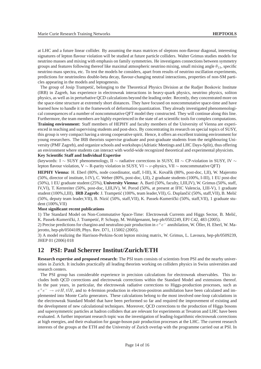at LHC and a future linear collider. By assuming the mass matrices of sleptons non-flavour diagonal, interesting signatures of lepton flavour violation will be studied at future particle colliders. Walter Grimus studies models for neutrino masses and mixing with emphasis on family symmetries. He investigates connections between symmetry groups and features following thereof like maximal atmospheric neutrino mixing, small mixing angle  $\theta_{13}$ , specific neutrino mass spectra, etc. To test the models he considers, apart from results of neutrino oscillation experiments, predictions for neutrinoless double-beta decay, flavour-changing neutral interactions, properties of non-SM particles appearing in the models and leptogenesis.

The group of Josip Trampetić, belonging to the Theoretical Physics Division at the Rudjer Boskovic Institute (IRB) in Zagreb, has experience in electroweak interactions in heavy-quark physics, neutrino physics, soliton physics, as well as in perturbative QCD calculations beyond the leading order. Recently, they concentrated more on the space-time structure at extremely short distances. They have focused on noncommutative space-time and have learned how to handle it in the framework of deformation quantization. They already investigated phenomenological consequences of a number of noncommutative QFT model they constructed. They will continue along this line. Furthermore, the team members are highly experienced in the state of art scientific tools for complex computations. **Training environment:** Staff members of HEPHY and faculty members of the University of Vienna are experienced in teaching and supervising students and post-docs. By concentrating its research on special topics of SUSY, this group is very compact having a strong cooperative spirit. Hence, it offers an excellent training environment for young researchers. The IRB theorists supervise graduate and post-graduate students from the neighbouring University (PMF Zagreb), and organize schools and workshops (Adriatic Meetings and LHC Days-Split), thus offering an environment where students can interact with world-wide recognized theoretical and experimental physicists. **Key Scientific Staff and Individual Expertise**

(keywords: I ∼ SUSY phenomenology, II ∼ radiative corrections in SUSY, III ∼ CP-violation in SUSY, IV ∼ lepton flavour violation, V ∼ R-parity violation in SUSY, VI  $\sim \nu$ -physics, VII ∼ noncommutative OFT)

**HEPHY Vienna:** H. Eberl (80%, node coordinator, staff, I-III), K. Kovařík (80%, post-doc, I,II), W. Majerotto (50%, director of institute, I-IV), C. Weber (80%, post-doc, I,II), 2 graduate students (100%, I-III), 1 EU post-doc (50%), 1 EU graduate student (25%), **University Vienna:** A. Bartl (50%, faculty, I,III,IV), W. Grimus (50%, staff, IV,VI), T. Kernreiter (50%, post-doc, I,III,IV), W. Porod (50%, at present at IFIC Valencia, I,III-V), 1 graduate student (100%,I,III), **IRB Zagreb:** J. Trampetić (100%, team leader, VII), G. Duplančić (50%, staff, VII), B. Melić (50%, deputy team leader, VII), B. Nizić (50%, staff, VII), K. Passek-Kumerički (50%, staff, VII), 1 graduate student (100%,VII)

#### **Most significant recent publications**

1) The Standard Model on Non-Commutative Space-Time: Electroweak Currents and Higgs Sector, B. Melić, K. Passek-Kumerički, J. Trampetić, P. Schupp, M. Wohlgenannt, hep-ph/0502249, EPJ C42, 483 (2005).

2) Precise predictions for chargino and neutralino pair production in  $e^+e^-$  annihilation, W. Öller, H. Eberl, W. Majerotto, hep-ph/0504109, Phys. Rev. D71, 115002 (2005).

3) A model realizing the Harrison-Perkins-Scott lepton mixing matrix, W. Grimus, L. Lavoura, hep-ph/0509239, JHEP 01 (2006) 018

## **12 PSI: Paul Scherrer Institut/Zurich/ETH**

**Research expertise and proposed research:** The PSI team consists of scientists from PSI and the nearby universities in Zurich. It includes practically all leading theorists working on colliders physics in Swiss universities and research centers.

The PSI group has considerable experience in precision calculations for electroweak observables. This includes both QCD corrections and electroweak corrections within the Standard Model and extensions thereof. In the past years, in particular, the electroweak radiative corrections to Higgs-production processes, such as  $e^+e^- \rightarrow \nu \bar{\nu}H, t\bar{t}H$ , and to 4-fermion production in electron-positron annihilation have been calculated and implemented into Monte Carlo generators. These calculations belong to the most involved one-loop calculations in the electroweak Standard Model that have been performed so far and required the improvement of existing and the development of new calculational techniques. Moreover, QCD corrections to the production of Higgs bosons and supersymmetric particles at hadron colliders that are relevant for experiments at Tevatron and LHC have been evaluated. A further important research topic was the investigation of leading-logarithmic electroweak corrections at high energies, and their evaluation for gauge-boson pair production processes at the LHC. The current research interests of the groups at the ETH and the University of Zurich overlap with the programme carried out at PSI. In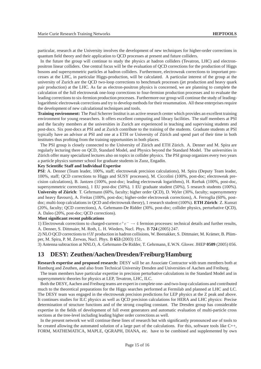particular, research at the University involves the development of new techniques for higher-order corrections in quantum field theory and their application to QCD processes at present and future colliders.

In the future the group will continue to study the physics at hadron colliders (Tevatron, LHC) and electronpositron linear colliders. One central focus will be the evaluation of QCD corrections for the production of Higgs bosons and supersymmetric particles at hadron colliders. Furthermore, electroweak corrections to important processes at the LHC, in particular Higgs-production, will be calculated. A particular interest of the group at the university of Zurich are the QCD two-loop corrections to benchmark processes (jet production and heavy quark pair production) at the LHC. As far as electron-positron physics is concerned, we are planning to complete the calculation of the full electroweak one-loop corrections to four-fermion production processes and to evaluate the leading corrections to six-fermion production processes. Furthermore our group will continue the study of leadinglogarithmic electroweak corrections and try to develop methods for their resummation. All these enterprises require the development of new calculational techniques and tools.

**Training environment:** The Paul Scherrer Institut is an active research center which provides an excellent training environment for young researchers. It offers excellent computing and library facilities. The staff members at PSI and the faculty members at the universities in Zurich are experienced in teaching and supervising students and post-docs. Six post-docs at PSI and at Zurich contribute to the training of the students. Graduate students at PSI typically have an advisor at PSI and one at a ETH or University of Zürich and spend part of their time in both institutes thus profiting from the training opportunities in both places.

The PSI group is closely connected to the University of Zürich and ETH Zürich. A. Denner and M. Spira are regularly lecturing there on QCD, Standard Model, and Physics beyond the Standard Model. The universities in Zürich offer many specialized lectures also on topics in collider physics. The PSI group organizes every two years a particle physics summer school for graduate students in Zuoz, Engadin.

#### **Key Scientific Staff and Individual Expertise**

**PSI**: A. Denner (Team leader, 100%, staff; electroweak precision calculations), M. Spira (Deputy Team leader, 100%, staff; QCD corrections to Higgs and SUSY processes), M. Ciccolini (100%, post-doc; electroweak precision calculations), B. Jantzen (100%, post-doc; leading electroweak logarithms), H. Rzehak (100%, post-doc, supersymmetric corrections), 1 EU post-doc (50%), 1 EU graduate student (50%), 5 research students (100%). **University of Zürich**: T. Gehrmann (60%, faculty; higher order QCD), D. Wyler (30%, faculty; supersymmetry and heavy flavours), A. Freitas (100%, post-doc; higher-order electroweak corrections), A. Ferroglia (60%, postdoc; multi-loop calculations in QCD and electroweak theory), 1 research student (100%). **ETH Zürich**: Z. Kunszt (20%, faculty; QCD corrections), A. Gehrmann-De Ridder (30%, post-doc; collider physics, perturbative QCD), A. Daleo (20%, post-doc; QCD corrections).

#### **Most significant recent publications**

1) Electroweak corrections to charged-current  $e^+e^- \to 4$  fermion processes: technical details and further results, A. Denner, S. Dittmaier, M. Roth, L. H. Wieders, Nucl. Phys. B **724** (2005) 247.

2) NLO QCD corrections to  $t\bar{t}H$  production in hadron collisions, W. Beenakker, S. Dittmaier, M. Krämer, B. Plümper, M. Spira, P. M. Zerwas, Nucl. Phys. B **653** (2003) 151.

3) Antenna subtraction at NNLO, A. Gehrmann-De Ridder, T. Gehrmann, E.W.N. Glover. JHEP **0509** (2005) 056.

## **13 DESY: Zeuthen/Aachen/Dresden/Freiburg/Hamburg**

**Research expertise and proposed research:** DESY will be an Associate Contractor with team members both at Hamburg and Zeuthen, and also from Technical University Dresden and Universities of Aachen and Freiburg.

The team members have particular expertise in precision perturbative calculations in the Standard Model and in supersymmetric theories for physics at LEP, Tevatron, LHC, ILC.

Both the DESY, Aachen and Freiburg teams are expert in complete one- and two-loop calculations and contributed much to the theoretical preparations for the Higgs searches performed at Fermilab and planned at LHC and LC. The DESY team was engaged in the electroweak precision predictions for LEP physics at the Z peak and above. It continues studies for ILC physics as well as QCD precision calculations for HERA and LHC physics: Precise determination of structure functions and of the strong coupling constant. The Dresden group has considerable expertise in the fields of development of full event generators and automatic evaluation of multi-particle cross sections at the tree-level including leading higher order corrections as well.

In the present network we will continue these lines of research but with significantly pronounced use of tools to be created allowing the automated solution of a large part of the calculations. For this, software tools like C++, FORM, MATHEMATICA, MAPLE, QGRAPH, DIANA, etc. have to be combined and supplemented by own